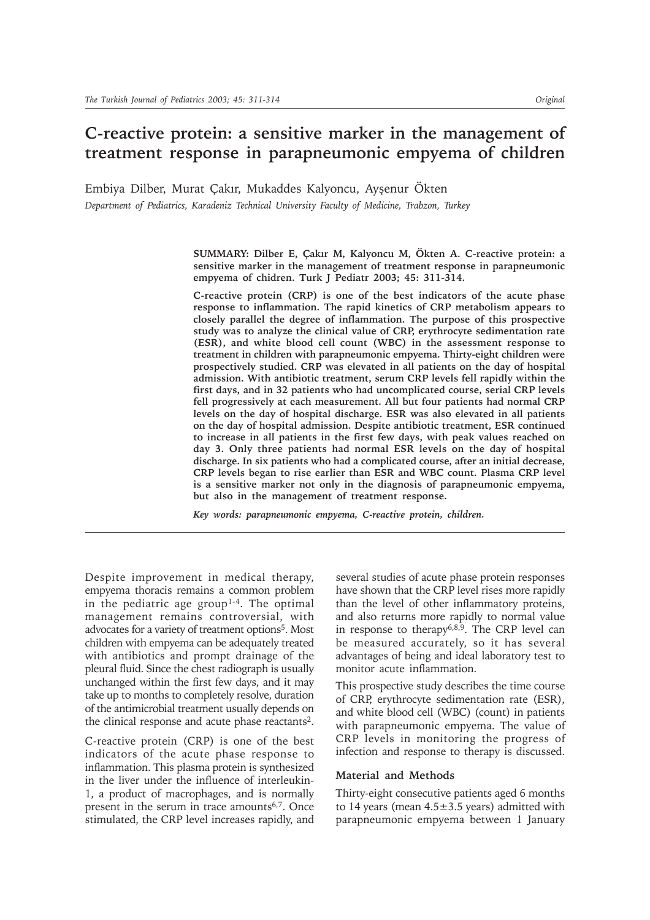# **C-reactive protein: a sensitive marker in the management of treatment response in parapneumonic empyema of children**

Embiya Dilber, Murat Çakır, Mukaddes Kalyoncu, Ayşenur Ökten *Department of Pediatrics, Karadeniz Technical University Faculty of Medicine, Trabzon, Turkey*

> SUMMARY: Dilber E, Çakır M, Kalyoncu M, Ökten A. C-reactive protein: a **sensitive marker in the management of treatment response in parapneumonic empyema of chidren. Turk J Pediatr 2003; 45: 311-314.**

> **C-reactive protein (CRP) is one of the best indicators of the acute phase response to inflammation. The rapid kinetics of CRP metabolism appears to closely parallel the degree of inflammation. The purpose of this prospective study was to analyze the clinical value of CRP, erythrocyte sedimentation rate (ESR), and white blood cell count (WBC) in the assessment response to treatment in children with parapneumonic empyema. Thirty-eight children were prospectively studied. CRP was elevated in all patients on the day of hospital admission. With antibiotic treatment, serum CRP levels fell rapidly within the first days, and in 32 patients who had uncomplicated course, serial CRP levels fell progressively at each measurement. All but four patients had normal CRP levels on the day of hospital discharge. ESR was also elevated in all patients on the day of hospital admission. Despite antibiotic treatment, ESR continued to increase in all patients in the first few days, with peak values reached on day 3. Only three patients had normal ESR levels on the day of hospital discharge. In six patients who had a complicated course, after an initial decrease, CRP levels began to rise earlier than ESR and WBC count. Plasma CRP level is a sensitive marker not only in the diagnosis of parapneumonic empyema, but also in the management of treatment response.**

*Key words: parapneumonic empyema, C-reactive protein, children.*

Despite improvement in medical therapy, empyema thoracis remains a common problem in the pediatric age group<sup>1-4</sup>. The optimal management remains controversial, with advocates for a variety of treatment options<sup>5</sup>. Most children with empyema can be adequately treated with antibiotics and prompt drainage of the pleural fluid. Since the chest radiograph is usually unchanged within the first few days, and it may take up to months to completely resolve, duration of the antimicrobial treatment usually depends on the clinical response and acute phase reactants2.

C-reactive protein (CRP) is one of the best indicators of the acute phase response to inflammation. This plasma protein is synthesized in the liver under the influence of interleukin-1, a product of macrophages, and is normally present in the serum in trace amounts<sup>6,7</sup>. Once stimulated, the CRP level increases rapidly, and

several studies of acute phase protein responses have shown that the CRP level rises more rapidly than the level of other inflammatory proteins, and also returns more rapidly to normal value in response to therapy6,8,9. The CRP level can be measured accurately, so it has several advantages of being and ideal laboratory test to monitor acute inflammation.

This prospective study describes the time course of CRP, erythrocyte sedimentation rate (ESR), and white blood cell (WBC) (count) in patients with parapneumonic empyema. The value of CRP levels in monitoring the progress of infection and response to therapy is discussed.

### **Material and Methods**

Thirty-eight consecutive patients aged 6 months to 14 years (mean  $4.5 \pm 3.5$  years) admitted with parapneumonic empyema between 1 January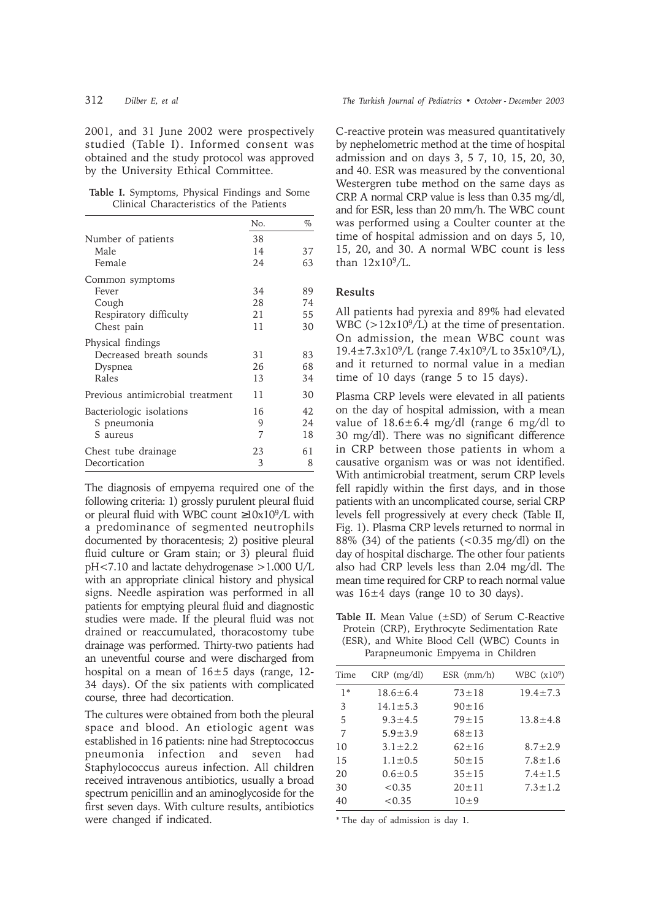2001, and 31 June 2002 were prospectively studied (Table I). Informed consent was obtained and the study protocol was approved by the University Ethical Committee.

**Table I.** Symptoms, Physical Findings and Some Clinical Characteristics of the Patients

|                                                                  | No.            | $\%$            |
|------------------------------------------------------------------|----------------|-----------------|
| Number of patients                                               | 38             |                 |
| Male<br>Female                                                   | 14<br>24       | 37<br>63        |
| Common symptoms                                                  |                |                 |
| Fever                                                            | 34             | 89              |
| Cough                                                            | 28             | 74              |
| Respiratory difficulty                                           | 21             | 55              |
| Chest pain                                                       | 11             | 30              |
| Physical findings<br>Decreased breath sounds<br>Dyspnea<br>Rales | 31<br>26<br>13 | 83<br>68<br>34  |
| Previous antimicrobial treatment                                 | 11             | 30              |
| Bacteriologic isolations<br>S pneumonia<br>S aureus              | 16<br>9<br>7   | 42<br>2.4<br>18 |
| Chest tube drainage<br>Decortication                             | 23<br>3        | 61<br>8         |

The diagnosis of empyema required one of the following criteria: 1) grossly purulent pleural fluid or pleural fluid with WBC count ≥10x109/L with a predominance of segmented neutrophils documented by thoracentesis; 2) positive pleural fluid culture or Gram stain; or 3) pleural fluid pH<7.10 and lactate dehydrogenase >1.000 U/L with an appropriate clinical history and physical signs. Needle aspiration was performed in all patients for emptying pleural fluid and diagnostic studies were made. If the pleural fluid was not drained or reaccumulated, thoracostomy tube drainage was performed. Thirty-two patients had an uneventful course and were discharged from hospital on a mean of  $16±5$  days (range, 12-34 days). Of the six patients with complicated course, three had decortication.

The cultures were obtained from both the pleural space and blood. An etiologic agent was established in 16 patients: nine had Streptococcus pneumonia infection and seven had Staphylococcus aureus infection. All children received intravenous antibiotics, usually a broad spectrum penicillin and an aminoglycoside for the first seven days. With culture results, antibiotics were changed if indicated.

C-reactive protein was measured quantitatively by nephelometric method at the time of hospital admission and on days 3, 5 7, 10, 15, 20, 30, and 40. ESR was measured by the conventional Westergren tube method on the same days as CRP. A normal CRP value is less than 0.35 mg/dl, and for ESR, less than 20 mm/h. The WBC count was performed using a Coulter counter at the time of hospital admission and on days 5, 10, 15, 20, and 30. A normal WBC count is less than  $12x10<sup>9</sup>/L$ .

# **Results**

All patients had pyrexia and 89% had elevated WBC ( $>12x10^9/L$ ) at the time of presentation. On admission, the mean WBC count was 19.4±7.3x109/L (range 7.4x109/L to 35x109/L), and it returned to normal value in a median time of 10 days (range 5 to 15 days).

Plasma CRP levels were elevated in all patients on the day of hospital admission, with a mean value of  $18.6 \pm 6.4$  mg/dl (range 6 mg/dl to 30 mg/dl). There was no significant difference in CRP between those patients in whom a causative organism was or was not identified. With antimicrobial treatment, serum CRP levels fell rapidly within the first days, and in those patients with an uncomplicated course, serial CRP levels fell progressively at every check (Table II, Fig. 1). Plasma CRP levels returned to normal in  $88\%$  (34) of the patients (<0.35 mg/dl) on the day of hospital discharge. The other four patients also had CRP levels less than 2.04 mg/dl. The mean time required for CRP to reach normal value was  $16±4$  days (range 10 to 30 days).

**Table II.** Mean Value (±SD) of Serum C-Reactive Protein (CRP), Erythrocyte Sedimentation Rate (ESR), and White Blood Cell (WBC) Counts in Parapneumonic Empyema in Children

| Time | $CRP$ (mg/dl)  | $ESR$ (mm/h) | WBC $(x109)$   |
|------|----------------|--------------|----------------|
| $1*$ | $18.6 \pm 6.4$ | $73 \pm 18$  | $19.4 \pm 7.3$ |
| 3    | $14.1 \pm 5.3$ | $90 \pm 16$  |                |
| 5    | $9.3 \pm 4.5$  | $79 + 15$    | $13.8 \pm 4.8$ |
| 7    | $5.9 \pm 3.9$  | $68 \pm 13$  |                |
| 10   | $3.1 \pm 2.2$  | $62 \pm 16$  | $8.7 \pm 2.9$  |
| 15   | $1.1 \pm 0.5$  | $50 \pm 15$  | $7.8 \pm 1.6$  |
| 20   | $0.6 \pm 0.5$  | $35 + 15$    | $7.4 \pm 1.5$  |
| 30   | < 0.35         | $20 \pm 11$  | $7.3 \pm 1.2$  |
| 40   | < 0.35         | $10+9$       |                |

\* The day of admission is day 1.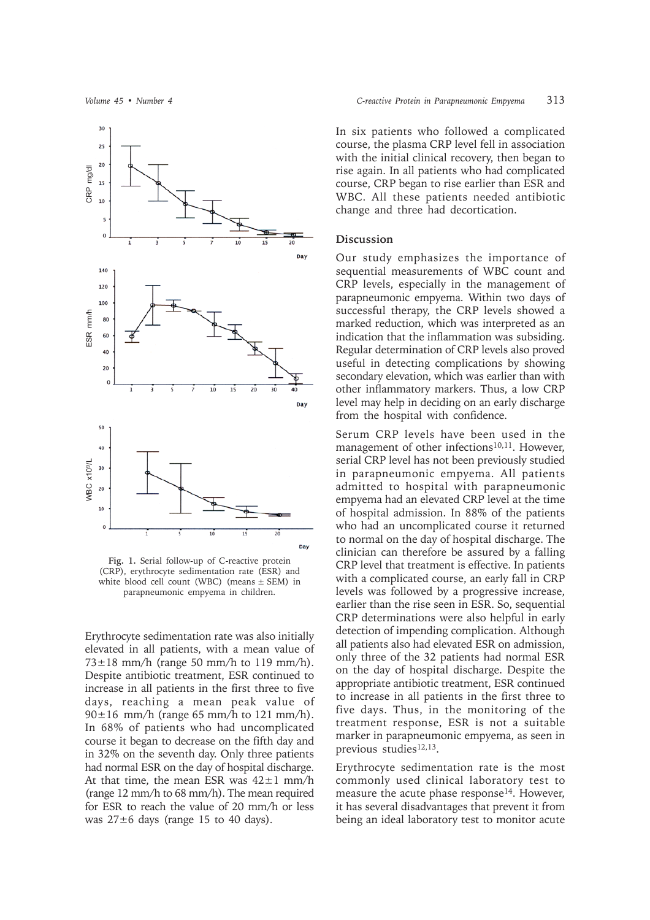

**Fig. 1.** Serial follow-up of C-reactive protein (CRP), erythrocyte sedimentation rate (ESR) and white blood cell count (WBC) (means  $\pm$  SEM) in parapneumonic empyema in children.

Erythrocyte sedimentation rate was also initially elevated in all patients, with a mean value of  $73\pm18$  mm/h (range 50 mm/h to 119 mm/h). Despite antibiotic treatment, ESR continued to increase in all patients in the first three to five days, reaching a mean peak value of  $90\pm16$  mm/h (range 65 mm/h to 121 mm/h). In 68% of patients who had uncomplicated course it began to decrease on the fifth day and in 32% on the seventh day. Only three patients had normal ESR on the day of hospital discharge. At that time, the mean ESR was  $42 \pm 1$  mm/h (range 12 mm/h to 68 mm/h). The mean required for ESR to reach the value of 20 mm/h or less was 27±6 days (range 15 to 40 days).

In six patients who followed a complicated course, the plasma CRP level fell in association with the initial clinical recovery, then began to rise again. In all patients who had complicated course, CRP began to rise earlier than ESR and WBC. All these patients needed antibiotic change and three had decortication.

## **Discussion**

Our study emphasizes the importance of sequential measurements of WBC count and CRP levels, especially in the management of parapneumonic empyema. Within two days of successful therapy, the CRP levels showed a marked reduction, which was interpreted as an indication that the inflammation was subsiding. Regular determination of CRP levels also proved useful in detecting complications by showing secondary elevation, which was earlier than with other inflammatory markers. Thus, a low CRP level may help in deciding on an early discharge from the hospital with confidence.

Serum CRP levels have been used in the management of other infections<sup>10,11</sup>. However, serial CRP level has not been previously studied in parapneumonic empyema. All patients admitted to hospital with parapneumonic empyema had an elevated CRP level at the time of hospital admission. In 88% of the patients who had an uncomplicated course it returned to normal on the day of hospital discharge. The clinician can therefore be assured by a falling CRP level that treatment is effective. In patients with a complicated course, an early fall in CRP levels was followed by a progressive increase, earlier than the rise seen in ESR. So, sequential CRP determinations were also helpful in early detection of impending complication. Although all patients also had elevated ESR on admission, only three of the 32 patients had normal ESR on the day of hospital discharge. Despite the appropriate antibiotic treatment, ESR continued to increase in all patients in the first three to five days. Thus, in the monitoring of the treatment response, ESR is not a suitable marker in parapneumonic empyema, as seen in previous studies<sup>12,13</sup>.

Erythrocyte sedimentation rate is the most commonly used clinical laboratory test to measure the acute phase response<sup>14</sup>. However, it has several disadvantages that prevent it from being an ideal laboratory test to monitor acute